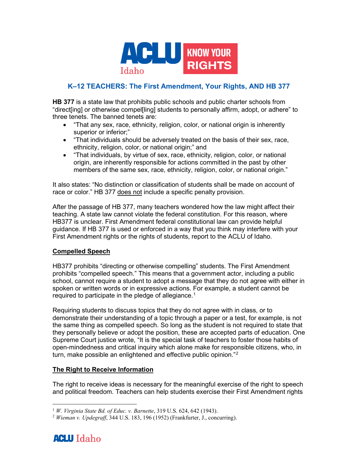

# **K–12 TEACHERS: The First Amendment, Your Rights, AND HB 377**

**HB 377** is a state law that prohibits public schools and public charter schools from "direct[ing] or otherwise compel[ling] students to personally affirm, adopt, or adhere" to three tenets. The banned tenets are:

- "That any sex, race, ethnicity, religion, color, or national origin is inherently superior or inferior;"
- "That individuals should be adversely treated on the basis of their sex, race, ethnicity, religion, color, or national origin;" and
- "That individuals, by virtue of sex, race, ethnicity, religion, color, or national origin, are inherently responsible for actions committed in the past by other members of the same sex, race, ethnicity, religion, color, or national origin."

It also states: "No distinction or classification of students shall be made on account of race or color." HB 377 does not include a specific penalty provision.

After the passage of HB 377, many teachers wondered how the law might affect their teaching. A state law cannot violate the federal constitution. For this reason, where HB377 is unclear. First Amendment federal constitutional law can provide helpful guidance. If HB 377 is used or enforced in a way that you think may interfere with your First Amendment rights or the rights of students, report to the ACLU of Idaho.

### **Compelled Speech**

HB377 prohibits "directing or otherwise compelling" students. The First Amendment prohibits "compelled speech." This means that a government actor, including a public school, cannot require a student to adopt a message that they do not agree with either in spoken or written words or in expressive actions. For example, a student cannot be required to participate in the pledge of allegiance. $^{\rm 1}$  $^{\rm 1}$  $^{\rm 1}$ 

Requiring students to discuss topics that they do not agree with in class, or to demonstrate their understanding of a topic through a paper or a test, for example, is not the same thing as compelled speech. So long as the student is not required to state that they personally believe or adopt the position, these are accepted parts of education. One Supreme Court justice wrote, "It is the special task of teachers to foster those habits of open-mindedness and critical inquiry which alone make for responsible citizens, who, in turn, make possible an enlightened and effective public opinion."<sup>[2](#page-0-1)</sup>

### **The Right to Receive Information**

The right to receive ideas is necessary for the meaningful exercise of the right to speech and political freedom. Teachers can help students exercise their First Amendment rights

<span id="page-0-1"></span><span id="page-0-0"></span><sup>2</sup> *Wieman v. Updegraff*, 344 U.S. 183, 196 (1952) (Frankfurter, J., concurring).



<sup>1</sup> *W. Virginia State Bd. of Educ. v. Barnette*, 319 U.S. 624, 642 (1943).